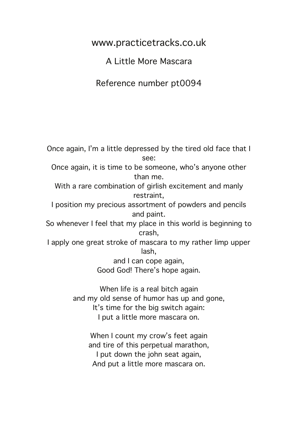www.practicetracks.co.uk

A Little More Mascara

Reference number pt0094

Once again, I'm a little depressed by the tired old face that I see: Once again, it is time to be someone, who's anyone other than me. With a rare combination of girlish excitement and manly restraint, I position my precious assortment of powders and pencils and paint. So whenever I feel that my place in this world is beginning to crash, I apply one great stroke of mascara to my rather limp upper lash, and I can cope again, Good God! There's hope again. When life is a real bitch again

and my old sense of humor has up and gone, It's time for the big switch again: I put a little more mascara on.

> When I count my crow's feet again and tire of this perpetual marathon, I put down the john seat again, And put a little more mascara on.